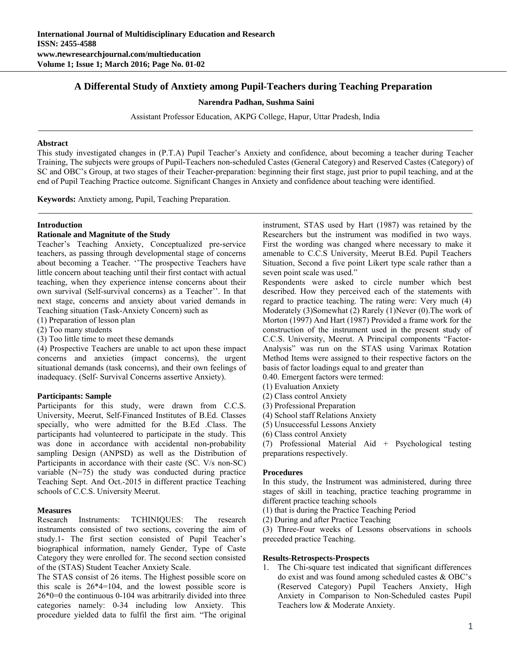# **A Differental Study of Anxtiety among Pupil-Teachers during Teaching Preparation**

#### **Narendra Padhan, Sushma Saini**

Assistant Professor Education, AKPG College, Hapur, Uttar Pradesh, India

#### **Abstract**

This study investigated changes in (P.T.A) Pupil Teacher's Anxiety and confidence, about becoming a teacher during Teacher Training, The subjects were groups of Pupil-Teachers non-scheduled Castes (General Category) and Reserved Castes (Category) of SC and OBC's Group, at two stages of their Teacher-preparation: beginning their first stage, just prior to pupil teaching, and at the end of Pupil Teaching Practice outcome. Significant Changes in Anxiety and confidence about teaching were identified.

**Keywords:** Anxtiety among, Pupil, Teaching Preparation.

#### **Introduction**

#### **Rationale and Magnitute of the Study**

Teacher's Teaching Anxiety, Conceptualized pre-service teachers, as passing through developmental stage of concerns about becoming a Teacher. ''The prospective Teachers have little concern about teaching until their first contact with actual teaching, when they experience intense concerns about their own survival (Self-survival concerns) as a Teacher''. In that next stage, concerns and anxiety about varied demands in Teaching situation (Task-Anxiety Concern) such as

- (1) Preparation of lesson plan
- (2) Too many students
- (3) Too little time to meet these demands

(4) Prospective Teachers are unable to act upon these impact concerns and anxieties (impact concerns), the urgent situational demands (task concerns), and their own feelings of inadequacy. (Self- Survival Concerns assertive Anxiety).

### **Participants: Sample**

Participants for this study, were drawn from C.C.S. University, Meerut, Self-Financed Institutes of B.Ed. Classes specially, who were admitted for the B.Ed .Class. The participants had volunteered to participate in the study. This was done in accordance with accidental non-probability sampling Design (ANPSD) as well as the Distribution of Participants in accordance with their caste (SC. V/s non-SC) variable (N=75) the study was conducted during practice Teaching Sept. And Oct.-2015 in different practice Teaching schools of C.C.S. University Meerut.

### **Measures**

Research Instruments: TCHINIQUES: The research instruments consisted of two sections, covering the aim of study.1- The first section consisted of Pupil Teacher's biographical information, namely Gender, Type of Caste Category they were enrolled for. The second section consisted of the (STAS) Student Teacher Anxiety Scale.

The STAS consist of 26 items. The Highest possible score on this scale is  $26*4=104$ , and the lowest possible score is 26\*0=0 the continuous 0-104 was arbitrarily divided into three categories namely: 0-34 including low Anxiety. This procedure yielded data to fulfil the first aim. "The original

instrument, STAS used by Hart (1987) was retained by the Researchers but the instrument was modified in two ways. First the wording was changed where necessary to make it amenable to C.C.S University, Meerut B.Ed. Pupil Teachers Situation, Second a five point Likert type scale rather than a seven point scale was used."

Respondents were asked to circle number which best described. How they perceived each of the statements with regard to practice teaching. The rating were: Very much (4) Moderately (3)Somewhat (2) Rarely (1)Never (0). The work of Morton (1997) And Hart (1987) Provided a frame work for the construction of the instrument used in the present study of C.C.S. University, Meerut. A Principal components "Factor-Analysis" was run on the STAS using Varimax Rotation Method Items were assigned to their respective factors on the basis of factor loadings equal to and greater than 0.40. Emergent factors were termed:

- 
- (1) Evaluation Anxiety
- (2) Class control Anxiety
- (3) Professional Preparation
- (4) School staff Relations Anxiety
- (5) Unsuccessful Lessons Anxiety
- (6) Class control Anxiety

(7) Professional Material Aid + Psychological testing preparations respectively.

## **Procedures**

In this study, the Instrument was administered, during three stages of skill in teaching, practice teaching programme in different practice teaching schools

- (1) that is during the Practice Teaching Period
- (2) During and after Practice Teaching

(3) Three-Four weeks of Lessons observations in schools preceded practice Teaching.

#### **Results-Retrospects-Prospects**

1. The Chi-square test indicated that significant differences do exist and was found among scheduled castes & OBC's (Reserved Category) Pupil Teachers Anxiety, High Anxiety in Comparison to Non-Scheduled castes Pupil Teachers low & Moderate Anxiety.